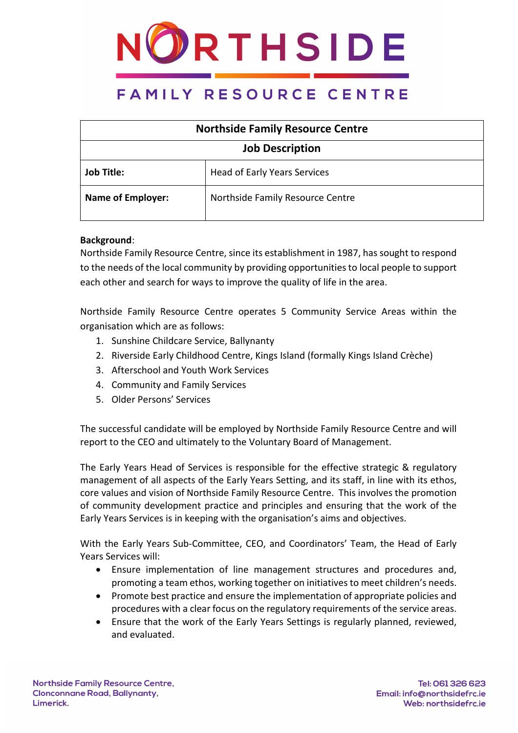

| <b>Northside Family Resource Centre</b> |                                     |  |
|-----------------------------------------|-------------------------------------|--|
| <b>Job Description</b>                  |                                     |  |
| <b>Job Title:</b>                       | <b>Head of Early Years Services</b> |  |
| <b>Name of Employer:</b>                | Northside Family Resource Centre    |  |

### **Background**:

Northside Family Resource Centre, since its establishment in 1987, has sought to respond to the needs of the local community by providing opportunities to local people to support each other and search for ways to improve the quality of life in the area.

Northside Family Resource Centre operates 5 Community Service Areas within the organisation which are as follows:

- 1. Sunshine Childcare Service, Ballynanty
- 2. Riverside Early Childhood Centre, Kings Island (formally Kings Island Crèche)
- 3. Afterschool and Youth Work Services
- 4. Community and Family Services
- 5. Older Persons' Services

The successful candidate will be employed by Northside Family Resource Centre and will report to the CEO and ultimately to the Voluntary Board of Management.

The Early Years Head of Services is responsible for the effective strategic & regulatory management of all aspects of the Early Years Setting, and its staff, in line with its ethos, core values and vision of Northside Family Resource Centre. This involves the promotion of community development practice and principles and ensuring that the work of the Early Years Services is in keeping with the organisation's aims and objectives.

With the Early Years Sub-Committee, CEO, and Coordinators' Team, the Head of Early Years Services will:

- Ensure implementation of line management structures and procedures and, promoting a team ethos, working together on initiatives to meet children's needs.
- Promote best practice and ensure the implementation of appropriate policies and procedures with a clear focus on the regulatory requirements of the service areas.
- Ensure that the work of the Early Years Settings is regularly planned, reviewed, and evaluated.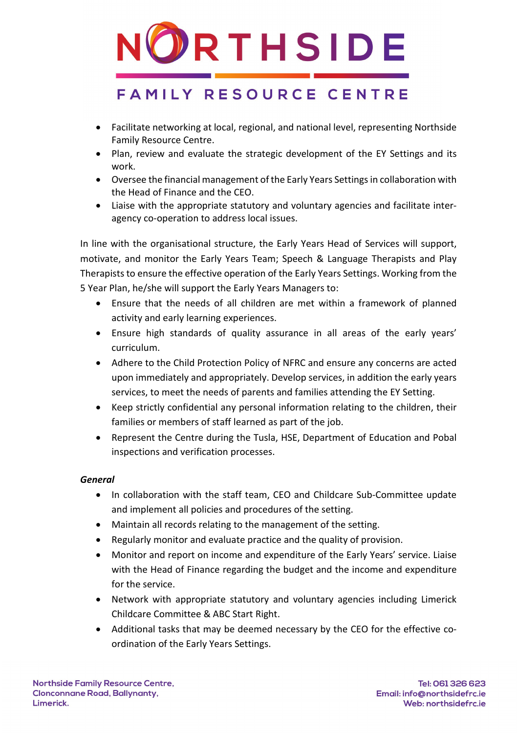

- Facilitate networking at local, regional, and national level, representing Northside Family Resource Centre.
- Plan, review and evaluate the strategic development of the EY Settings and its work.
- Oversee the financial management of the Early Years Settings in collaboration with the Head of Finance and the CEO.
- Liaise with the appropriate statutory and voluntary agencies and facilitate interagency co-operation to address local issues.

In line with the organisational structure, the Early Years Head of Services will support, motivate, and monitor the Early Years Team; Speech & Language Therapists and Play Therapists to ensure the effective operation of the Early Years Settings. Working from the 5 Year Plan, he/she will support the Early Years Managers to:

- Ensure that the needs of all children are met within a framework of planned activity and early learning experiences.
- Ensure high standards of quality assurance in all areas of the early years' curriculum.
- Adhere to the Child Protection Policy of NFRC and ensure any concerns are acted upon immediately and appropriately. Develop services, in addition the early years services, to meet the needs of parents and families attending the EY Setting.
- Keep strictly confidential any personal information relating to the children, their families or members of staff learned as part of the job.
- Represent the Centre during the Tusla, HSE, Department of Education and Pobal inspections and verification processes.

## *General*

- In collaboration with the staff team, CEO and Childcare Sub-Committee update and implement all policies and procedures of the setting.
- Maintain all records relating to the management of the setting.
- Regularly monitor and evaluate practice and the quality of provision.
- Monitor and report on income and expenditure of the Early Years' service. Liaise with the Head of Finance regarding the budget and the income and expenditure for the service.
- Network with appropriate statutory and voluntary agencies including Limerick Childcare Committee & ABC Start Right.
- Additional tasks that may be deemed necessary by the CEO for the effective coordination of the Early Years Settings.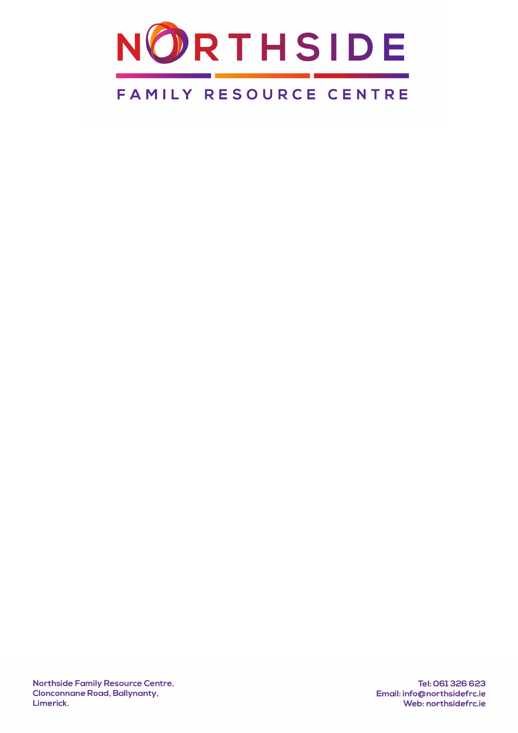

**Northside Family Resource Centre, Clonconnane Road, Ballynanty,** Limerick.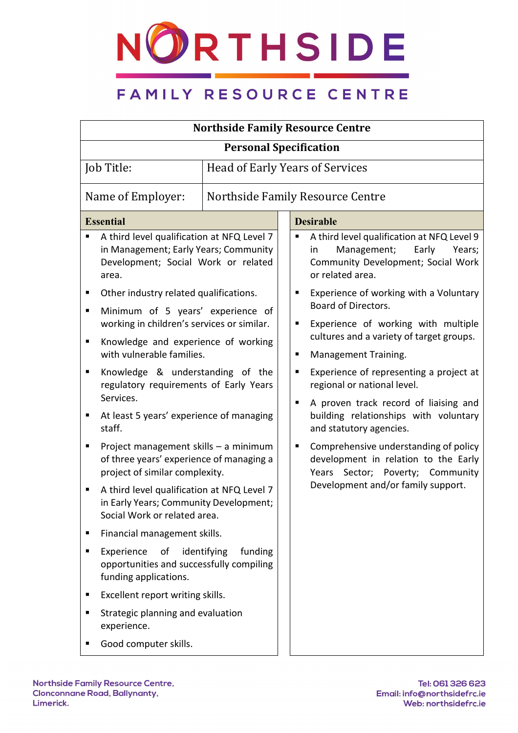

| <b>Northside Family Resource Centre</b>                                                                                                                                                                                                                                                                                                                                                                                                                                                                                                                                                                                                                                                                                                                                                                                                              |                                        |                                                                                                                                                                                                                                                                                                                                                                                                                                                                                                                                                                                                                                                                                                                                                  |  |  |
|------------------------------------------------------------------------------------------------------------------------------------------------------------------------------------------------------------------------------------------------------------------------------------------------------------------------------------------------------------------------------------------------------------------------------------------------------------------------------------------------------------------------------------------------------------------------------------------------------------------------------------------------------------------------------------------------------------------------------------------------------------------------------------------------------------------------------------------------------|----------------------------------------|--------------------------------------------------------------------------------------------------------------------------------------------------------------------------------------------------------------------------------------------------------------------------------------------------------------------------------------------------------------------------------------------------------------------------------------------------------------------------------------------------------------------------------------------------------------------------------------------------------------------------------------------------------------------------------------------------------------------------------------------------|--|--|
| <b>Personal Specification</b>                                                                                                                                                                                                                                                                                                                                                                                                                                                                                                                                                                                                                                                                                                                                                                                                                        |                                        |                                                                                                                                                                                                                                                                                                                                                                                                                                                                                                                                                                                                                                                                                                                                                  |  |  |
| Job Title:                                                                                                                                                                                                                                                                                                                                                                                                                                                                                                                                                                                                                                                                                                                                                                                                                                           | <b>Head of Early Years of Services</b> |                                                                                                                                                                                                                                                                                                                                                                                                                                                                                                                                                                                                                                                                                                                                                  |  |  |
| Name of Employer:                                                                                                                                                                                                                                                                                                                                                                                                                                                                                                                                                                                                                                                                                                                                                                                                                                    |                                        | Northside Family Resource Centre                                                                                                                                                                                                                                                                                                                                                                                                                                                                                                                                                                                                                                                                                                                 |  |  |
| <b>Essential</b><br>A third level qualification at NFQ Level 7<br>in Management; Early Years; Community<br>Development; Social Work or related<br>area.<br>Other industry related qualifications.<br>п<br>Minimum of 5 years' experience of<br>п<br>working in children's services or similar.<br>Knowledge and experience of working<br>п<br>with vulnerable families.<br>Knowledge & understanding of the<br>п<br>regulatory requirements of Early Years<br>Services.<br>At least 5 years' experience of managing<br>п<br>staff.<br>Project management skills - a minimum<br>п<br>of three years' experience of managing a<br>project of similar complexity.<br>A third level qualification at NFQ Level 7<br>п<br>in Early Years; Community Development;<br>Social Work or related area.<br>Financial management skills.<br>п<br>Experience<br>of | identifying<br>funding                 | <b>Desirable</b><br>A third level qualification at NFQ Level 9<br>Management;<br>Early<br>Years;<br>in.<br>Community Development; Social Work<br>or related area.<br>Experience of working with a Voluntary<br>п<br>Board of Directors.<br>Experience of working with multiple<br>Ξ<br>cultures and a variety of target groups.<br>Management Training.<br>$\blacksquare$<br>Experience of representing a project at<br>п<br>regional or national level.<br>A proven track record of liaising and<br>Ξ<br>building relationships with voluntary<br>and statutory agencies.<br>Comprehensive understanding of policy<br>Ξ<br>development in relation to the Early<br>Sector;<br>Poverty; Community<br>Years<br>Development and/or family support. |  |  |
| opportunities and successfully compiling<br>funding applications.<br>Excellent report writing skills.<br>п                                                                                                                                                                                                                                                                                                                                                                                                                                                                                                                                                                                                                                                                                                                                           |                                        |                                                                                                                                                                                                                                                                                                                                                                                                                                                                                                                                                                                                                                                                                                                                                  |  |  |
|                                                                                                                                                                                                                                                                                                                                                                                                                                                                                                                                                                                                                                                                                                                                                                                                                                                      |                                        |                                                                                                                                                                                                                                                                                                                                                                                                                                                                                                                                                                                                                                                                                                                                                  |  |  |
| Strategic planning and evaluation<br>experience.                                                                                                                                                                                                                                                                                                                                                                                                                                                                                                                                                                                                                                                                                                                                                                                                     |                                        |                                                                                                                                                                                                                                                                                                                                                                                                                                                                                                                                                                                                                                                                                                                                                  |  |  |
| Good computer skills.                                                                                                                                                                                                                                                                                                                                                                                                                                                                                                                                                                                                                                                                                                                                                                                                                                |                                        |                                                                                                                                                                                                                                                                                                                                                                                                                                                                                                                                                                                                                                                                                                                                                  |  |  |

**Northside Family Resource Centre, Clonconnane Road, Ballynanty,** Limerick.